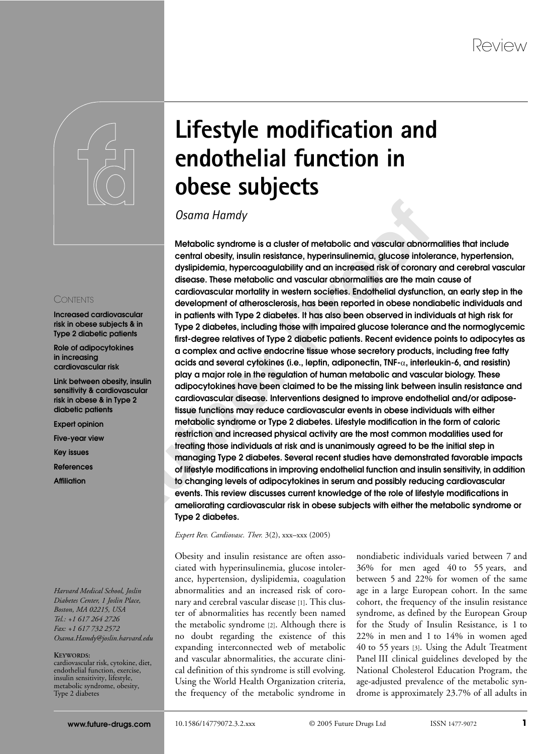Review

#### **CONTENTS**

**Increased cardiovascular risk in obese subjects & in Type 2 diabetic patients**

**Role of adipocytokines in increasing cardiovascular risk**

**Link between obesity, insulin sensitivity & cardiovascular risk in obese & in Type 2 diabetic patients**

**Expert opinion**

**Five-year view**

**Key issues**

**References**

**Affiliation**

#### *Harvard Medical School, Joslin Diabetes Center, 1 Joslin Place, Boston, MA 02215, USA Tel.: +1 617 264 2726 Fax: +1 617 732 2572 Osama.Hamdy@joslin.harvard.edu*

#### **KEYWORDS:**

cardiovascular risk, cytokine, diet, endothelial function, exercise, insulin sensitivity, lifestyle, metabolic syndrome, obesity, Type 2 diabetes

# **Lifestyle modification and endothelial function in obese subjects**

## *Osama Hamdy*

Command Hamaly Command Propherical Community and Community and Constant of the Commission Cost in the Community of the Community and the Community of the Community and the Community of the Community and the Community of th **Metabolic syndrome is a cluster of metabolic and vascular abnormalities that include central obesity, insulin resistance, hyperinsulinemia, glucose intolerance, hypertension, dyslipidemia, hypercoagulability and an increased risk of coronary and cerebral vascular disease. These metabolic and vascular abnormalities are the main cause of cardiovascular mortality in western societies. Endothelial dysfunction, an early step in the development of atherosclerosis, has been reported in obese nondiabetic individuals and in patients with Type 2 diabetes. It has also been observed in individuals at high risk for Type 2 diabetes, including those with impaired glucose tolerance and the normoglycemic first-degree relatives of Type 2 diabetic patients. Recent evidence points to adipocytes as a complex and active endocrine tissue whose secretory products, including free fatty acids and several cytokines (i.e., leptin, adiponectin, TNF-**α**, interleukin-6, and resistin) play a major role in the regulation of human metabolic and vascular biology. These adipocytokines have been claimed to be the missing link between insulin resistance and cardiovascular disease. Interventions designed to improve endothelial and/or adiposetissue functions may reduce cardiovascular events in obese individuals with either metabolic syndrome or Type 2 diabetes. Lifestyle modification in the form of caloric restriction and increased physical activity are the most common modalities used for treating those individuals at risk and is unanimously agreed to be the initial step in managing Type 2 diabetes. Several recent studies have demonstrated favorable impacts of lifestyle modifications in improving endothelial function and insulin sensitivity, in addition to changing levels of adipocytokines in serum and possibly reducing cardiovascular events. This review discusses current knowledge of the role of lifestyle modifications in ameliorating cardiovascular risk in obese subjects with either the metabolic syndrome or Type 2 diabetes.**

#### *Expert Rev. Cardiovasc. Ther.* 3(2), xxx–xxx (2005)

Obesity and insulin resistance are often associated with hyperinsulinemia, glucose intolerance, hypertension, dyslipidemia, coagulation abnormalities and an increased risk of coronary and cerebral vascular disease [1]. This cluster of abnormalities has recently been named the metabolic syndrome [2]. Although there is no doubt regarding the existence of this expanding interconnected web of metabolic and vascular abnormalities, the accurate clinical definition of this syndrome is still evolving. Using the World Health Organization criteria, the frequency of the metabolic syndrome in

nondiabetic individuals varied between 7 and 36% for men aged 40 to 55 years, and between 5 and 22% for women of the same age in a large European cohort. In the same cohort, the frequency of the insulin resistance syndrome, as defined by the European Group for the Study of Insulin Resistance, is 1 to 22% in men and 1 to 14% in women aged 40 to 55 years [3]. Using the Adult Treatment Panel III clinical guidelines developed by the National Cholesterol Education Program, the age-adjusted prevalence of the metabolic syndrome is approximately 23.7% of all adults in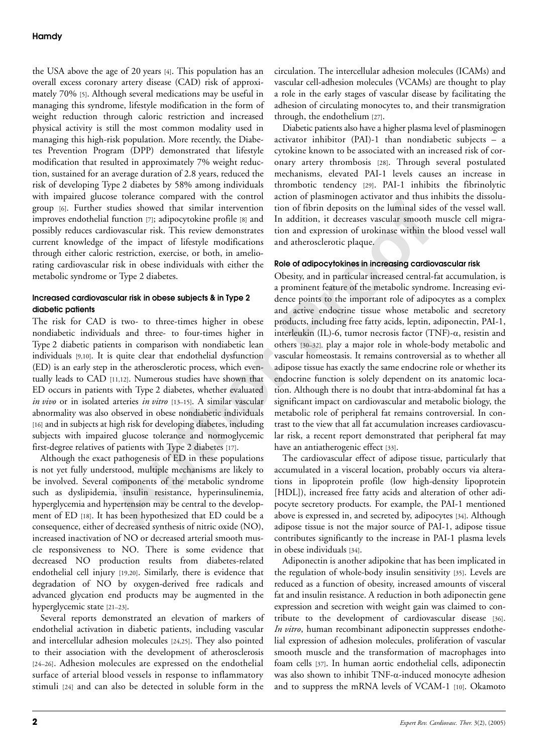the USA above the age of 20 years [4]. This population has an overall excess coronary artery disease (CAD) risk of approximately 70% [5]. Although several medications may be useful in managing this syndrome, lifestyle modification in the form of weight reduction through caloric restriction and increased physical activity is still the most common modality used in managing this high-risk population. More recently, the Diabetes Prevention Program (DPP) demonstrated that lifestyle modification that resulted in approximately 7% weight reduction, sustained for an average duration of 2.8 years, reduced the risk of developing Type 2 diabetes by 58% among individuals with impaired glucose tolerance compared with the control group [6]. Further studies showed that similar intervention improves endothelial function [7]; adipocytokine profile [8] and possibly reduces cardiovascular risk. This review demonstrates current knowledge of the impact of lifestyle modifications through either caloric restriction, exercise, or both, in ameliorating cardiovascular risk in obese individuals with either the metabolic syndrome or Type 2 diabetes.

#### **Increased cardiovascular risk in obese subjects & in Type 2 diabetic patients**

The risk for CAD is two- to three-times higher in obese nondiabetic individuals and three- to four-times higher in Type 2 diabetic patients in comparison with nondiabetic lean individuals [9,10]. It is quite clear that endothelial dysfunction (ED) is an early step in the atherosclerotic process, which eventually leads to CAD [11,12]. Numerous studies have shown that ED occurs in patients with Type 2 diabetes, whether evaluated *in vivo* or in isolated arteries *in vitro* [13–15]. A similar vascular abnormality was also observed in obese nondiabetic individuals [16] and in subjects at high risk for developing diabetes, including subjects with impaired glucose tolerance and normoglycemic first-degree relatives of patients with Type 2 diabetes [17].

Although the exact pathogenesis of ED in these populations is not yet fully understood, multiple mechanisms are likely to be involved. Several components of the metabolic syndrome such as dyslipidemia, insulin resistance, hyperinsulinemia, hyperglycemia and hypertension may be central to the development of ED [18]. It has been hypothesized that ED could be a consequence, either of decreased synthesis of nitric oxide (NO), increased inactivation of NO or decreased arterial smooth muscle responsiveness to NO. There is some evidence that decreased NO production results from diabetes-related endothelial cell injury [19,20]. Similarly, there is evidence that degradation of NO by oxygen-derived free radicals and advanced glycation end products may be augmented in the hyperglycemic state [21–23].

Several reports demonstrated an elevation of markers of endothelial activation in diabetic patients, including vascular and intercellular adhesion molecules [24,25]. They also pointed to their association with the development of atherosclerosis [24–26]. Adhesion molecules are expressed on the endothelial surface of arterial blood vessels in response to inflammatory stimuli [24] and can also be detected in soluble form in the

circulation. The intercellular adhesion molecules (ICAMs) and vascular cell-adhesion molecules (VCAMs) are thought to play a role in the early stages of vascular disease by facilitating the adhesion of circulating monocytes to, and their transmigration through, the endothelium [27].

Diabetic patients also have a higher plasma level of plasminogen activator inhibitor (PAI)-1 than nondiabetic subjects – a cytokine known to be associated with an increased risk of coronary artery thrombosis [28]. Through several postulated mechanisms, elevated PAI-1 levels causes an increase in thrombotic tendency [29]. PAI-1 inhibits the fibrinolytic action of plasminogen activator and thus inhibits the dissolution of fibrin deposits on the luminal sides of the vessel wall. In addition, it decreases vascular smooth muscle cell migration and expression of urokinase within the blood vessel wall and atherosclerotic plaque.

#### **Role of adipocytokines in increasing cardiovascular risk**

studies showed that similar intervention tion of fibrin deposits on the luminal sides of<br>a linitation D<sub>7</sub>: adjopcytokine profile is and In addition, it decreases vascular smooth mu<br>diffusion D7: adjopcytokine profile is a Obesity, and in particular increased central-fat accumulation, is a prominent feature of the metabolic syndrome. Increasing evidence points to the important role of adipocytes as a complex and active endocrine tissue whose metabolic and secretory products, including free fatty acids, leptin, adiponectin, PAI-1, interleukin (IL)-6, tumor necrosis factor (TNF)-α, resistin and others [30–32], play a major role in whole-body metabolic and vascular homeostasis. It remains controversial as to whether all adipose tissue has exactly the same endocrine role or whether its endocrine function is solely dependent on its anatomic location. Although there is no doubt that intra-abdominal fat has a significant impact on cardiovascular and metabolic biology, the metabolic role of peripheral fat remains controversial. In contrast to the view that all fat accumulation increases cardiovascular risk, a recent report demonstrated that peripheral fat may have an antiatherogenic effect [33].

The cardiovascular effect of adipose tissue, particularly that accumulated in a visceral location, probably occurs via alterations in lipoprotein profile (low high-density lipoprotein [HDL]), increased free fatty acids and alteration of other adipocyte secretory products. For example, the PAI-1 mentioned above is expressed in, and secreted by, adipocytes [34]. Although adipose tissue is not the major source of PAI-1, adipose tissue contributes significantly to the increase in PAI-1 plasma levels in obese individuals [34].

Adiponectin is another adipokine that has been implicated in the regulation of whole-body insulin sensitivity [35]. Levels are reduced as a function of obesity, increased amounts of visceral fat and insulin resistance. A reduction in both adiponectin gene expression and secretion with weight gain was claimed to contribute to the development of cardiovascular disease [36]. *In vitro*, human recombinant adiponectin suppresses endothelial expression of adhesion molecules, proliferation of vascular smooth muscle and the transformation of macrophages into foam cells [37]. In human aortic endothelial cells, adiponectin was also shown to inhibit TNF-α-induced monocyte adhesion and to suppress the mRNA levels of VCAM-1 [10]. Okamoto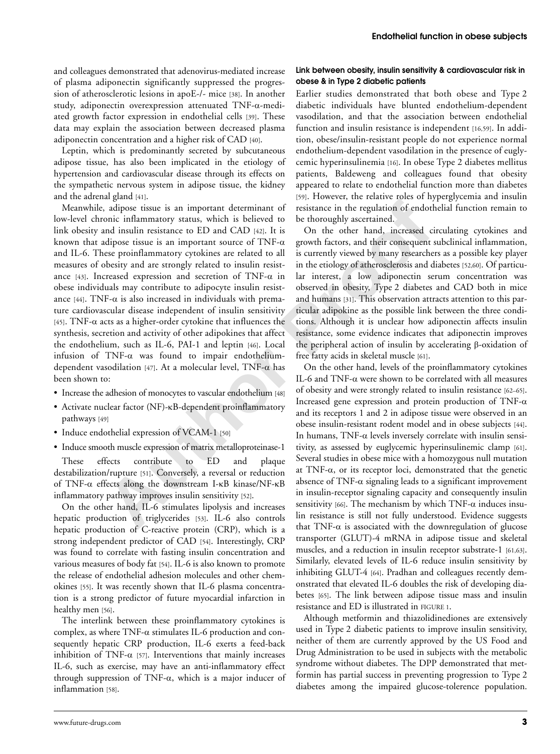and colleagues demonstrated that adenovirus-mediated increase of plasma adiponectin significantly suppressed the progression of atherosclerotic lesions in apoE-/- mice [38]. In another study, adiponectin overexpression attenuated TNF-α-mediated growth factor expression in endothelial cells [39]. These data may explain the association between decreased plasma adiponectin concentration and a higher risk of CAD [40].

Leptin, which is predominantly secreted by subcutaneous adipose tissue, has also been implicated in the etiology of hypertension and cardiovascular disease through its effects on the sympathetic nervous system in adipose tissue, the kidney and the adrenal gland [41].

**Automage Since is an important determinant of** resistance in the regulation of endobthelion<br>
and insulin resistance to ED and CAD (12). It is On the orbustly secretained,<br>
and insulin resistance to ED and CAD (12). It is Meanwhile, adipose tissue is an important determinant of low-level chronic inflammatory status, which is believed to link obesity and insulin resistance to ED and CAD [42]. It is known that adipose tissue is an important source of TNF- $\alpha$ and IL-6. These proinflammatory cytokines are related to all measures of obesity and are strongly related to insulin resistance [43]. Increased expression and secretion of TNF- $\alpha$  in obese individuals may contribute to adipocyte insulin resistance [44]. TNF- $\alpha$  is also increased in individuals with premature cardiovascular disease independent of insulin sensitivity [45]. TNF- $\alpha$  acts as a higher-order cytokine that influences the synthesis, secretion and activity of other adipokines that affect the endothelium, such as IL-6, PAI-1 and leptin [46]. Local infusion of TNF-α was found to impair endotheliumdependent vasodilation [47]. At a molecular level, TNF- $\alpha$  has been shown to:

- Increase the adhesion of monocytes to vascular endothelium [48]
- Activate nuclear factor (NF)-κB-dependent proinflammatory pathways [49]
- Induce endothelial expression of VCAM-1 [50]
- Induce smooth muscle expression of matrix metalloproteinase-1

These effects contribute to ED and plaque destabilization/rupture [51]. Conversely, a reversal or reduction of TNF-α effects along the downstream I-κB kinase/NF-κB inflammatory pathway improves insulin sensitivity [52].

On the other hand, IL-6 stimulates lipolysis and increases hepatic production of triglycerides [53]. IL-6 also controls hepatic production of C-reactive protein (CRP), which is a strong independent predictor of CAD [54]. Interestingly, CRP was found to correlate with fasting insulin concentration and various measures of body fat [54]. IL-6 is also known to promote the release of endothelial adhesion molecules and other chemokines [55]. It was recently shown that IL-6 plasma concentration is a strong predictor of future myocardial infarction in healthy men [56].

The interlink between these proinflammatory cytokines is complex, as where TNF-α stimulates IL-6 production and consequently hepatic CRP production, IL-6 exerts a feed-back inhibition of TNF- $\alpha$  [57]. Interventions that mainly increases IL-6, such as exercise, may have an anti-inflammatory effect through suppression of TNF- $\alpha$ , which is a major inducer of inflammation [58].

#### **Link between obesity, insulin sensitivity & cardiovascular risk in obese & in Type 2 diabetic patients**

Earlier studies demonstrated that both obese and Type 2 diabetic individuals have blunted endothelium-dependent vasodilation, and that the association between endothelial function and insulin resistance is independent [16,59]. In addition, obese/insulin-resistant people do not experience normal endothelium-dependent vasodilation in the presence of euglycemic hyperinsulinemia [16]. In obese Type 2 diabetes mellitus patients, Baldeweng and colleagues found that obesity appeared to relate to endothelial function more than diabetes [59]. However, the relative roles of hyperglycemia and insulin resistance in the regulation of endothelial function remain to be thoroughly ascertained.

On the other hand, increased circulating cytokines and growth factors, and their consequent subclinical inflammation, is currently viewed by many researchers as a possible key player in the etiology of atherosclerosis and diabetes [52,60]. Of particular interest, a low adiponectin serum concentration was observed in obesity, Type 2 diabetes and CAD both in mice and humans [31]. This observation attracts attention to this particular adipokine as the possible link between the three conditions. Although it is unclear how adiponectin affects insulin resistance, some evidence indicates that adiponectin improves the peripheral action of insulin by accelerating β-oxidation of free fatty acids in skeletal muscle [61].

On the other hand, levels of the proinflammatory cytokines IL-6 and TNF-α were shown to be correlated with all measures of obesity and were strongly related to insulin resistance [62–65]. Increased gene expression and protein production of TNF- $\alpha$ and its receptors 1 and 2 in adipose tissue were observed in an obese insulin-resistant rodent model and in obese subjects [44]. In humans, TNF- $\alpha$  levels inversely correlate with insulin sensitivity, as assessed by euglycemic hyperinsulinemic clamp [61]. Several studies in obese mice with a homozygous null mutation at TNF- $\alpha$ , or its receptor loci, demonstrated that the genetic absence of TNF-α signaling leads to a significant improvement in insulin-receptor signaling capacity and consequently insulin sensitivity [66]. The mechanism by which TNF- $\alpha$  induces insulin resistance is still not fully understood. Evidence suggests that TNF- $\alpha$  is associated with the downregulation of glucose transporter (GLUT)-4 mRNA in adipose tissue and skeletal muscles, and a reduction in insulin receptor substrate-1 [61,63]. Similarly, elevated levels of IL-6 reduce insulin sensitivity by inhibiting GLUT-4 [64]. Pradhan and colleagues recently demonstrated that elevated IL-6 doubles the risk of developing diabetes [65]. The link between adipose tissue mass and insulin resistance and ED is illustrated in FIGURE 1.

Although metformin and thiazolidinediones are extensively used in Type 2 diabetic patients to improve insulin sensitivity, neither of them are currently approved by the US Food and Drug Administration to be used in subjects with the metabolic syndrome without diabetes. The DPP demonstrated that metformin has partial success in preventing progression to Type 2 diabetes among the impaired glucose-tolerence population.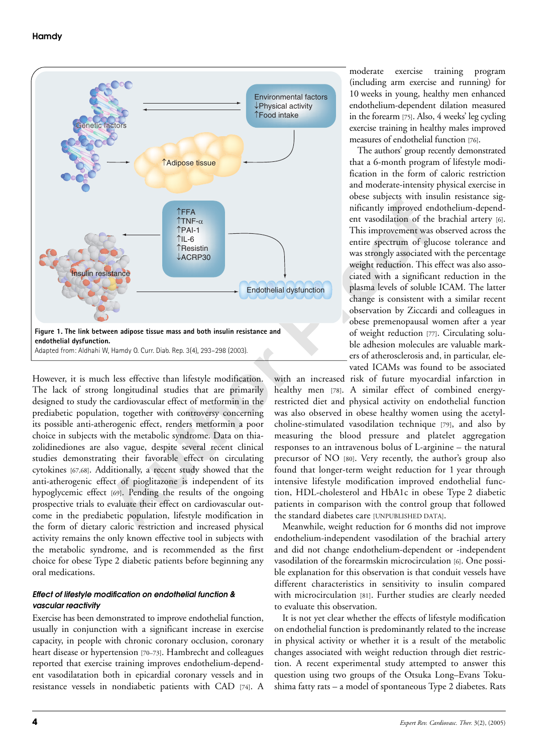

However, it is much less effective than lifestyle modification. The lack of strong longitudinal studies that are primarily designed to study the cardiovascular effect of metformin in the prediabetic population, together with controversy concerning its possible anti-atherogenic effect, renders metformin a poor choice in subjects with the metabolic syndrome. Data on thiazolidinediones are also vague, despite several recent clinical studies demonstrating their favorable effect on circulating cytokines [67,68]. Additionally, a recent study showed that the anti-atherogenic effect of pioglitazone is independent of its hypoglycemic effect [69]. Pending the results of the ongoing prospective trials to evaluate their effect on cardiovascular outcome in the prediabetic population, lifestyle modification in the form of dietary caloric restriction and increased physical activity remains the only known effective tool in subjects with the metabolic syndrome, and is recommended as the first choice for obese Type 2 diabetic patients before beginning any oral medications.

#### *Effect of lifestyle modification on endothelial function & vascular reactivity*

Exercise has been demonstrated to improve endothelial function, usually in conjunction with a significant increase in exercise capacity, in people with chronic coronary occlusion, coronary heart disease or hypertension [70–73]. Hambrecht and colleagues reported that exercise training improves endothelium-dependent vasodilatation both in epicardial coronary vessels and in resistance vessels in nondiabetic patients with CAD [74]. A

moderate exercise training program (including arm exercise and running) for 10 weeks in young, healthy men enhanced endothelium-dependent dilation measured in the forearm [75]. Also, 4 weeks' leg cycling exercise training in healthy males improved measures of endothelial function [76].

The authors' group recently demonstrated that a 6-month program of lifestyle modification in the form of caloric restriction and moderate-intensity physical exercise in obese subjects with insulin resistance significantly improved endothelium-dependent vasodilation of the brachial artery [6]. This improvement was observed across the entire spectrum of glucose tolerance and was strongly associated with the percentage weight reduction. This effect was also associated with a significant reduction in the plasma levels of soluble ICAM. The latter change is consistent with a similar recent observation by Ziccardi and colleagues in obese premenopausal women after a year of weight reduction [77]. Circulating soluble adhesion molecules are valuable markers of atherosclerosis and, in particular, elevated ICAMs was found to be associated

with an increased risk of future myocardial infarction in healthy men [78]. A similar effect of combined energyrestricted diet and physical activity on endothelial function was also observed in obese healthy women using the acetylcholine-stimulated vasodilation technique [79], and also by measuring the blood pressure and platelet aggregation responses to an intravenous bolus of L-arginine – the natural precursor of NO [80]. Very recently, the author's group also found that longer-term weight reduction for 1 year through intensive lifestyle modification improved endothelial function, HDL-cholesterol and HbA1c in obese Type 2 diabetic patients in comparison with the control group that followed the standard diabetes care [UNPUBLISHED DATA].

Meanwhile, weight reduction for 6 months did not improve endothelium-independent vasodilation of the brachial artery and did not change endothelium-dependent or -independent vasodilation of the forearmskin microcirculation [6]. One possible explanation for this observation is that conduit vessels have different characteristics in sensitivity to insulin compared with microcirculation [81]. Further studies are clearly needed to evaluate this observation.

It is not yet clear whether the effects of lifestyle modification on endothelial function is predominantly related to the increase in physical activity or whether it is a result of the metabolic changes associated with weight reduction through diet restriction. A recent experimental study attempted to answer this question using two groups of the Otsuka Long–Evans Tokushima fatty rats – a model of spontaneous Type 2 diabetes. Rats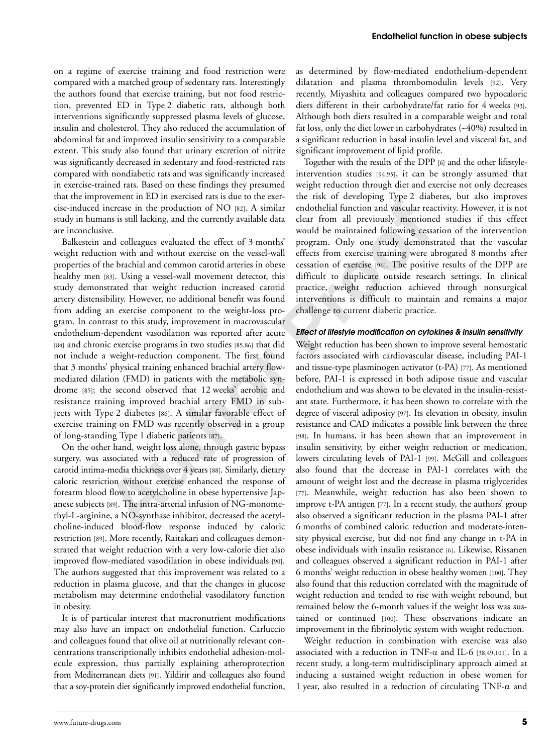on a regime of exercise training and food restriction were compared with a matched group of sedentary rats. Interestingly the authors found that exercise training, but not food restriction, prevented ED in Type 2 diabetic rats, although both interventions significantly suppressed plasma levels of glucose, insulin and cholesterol. They also reduced the accumulation of abdominal fat and improved insulin sensitivity to a comparable extent. This study also found that urinary excretion of nitrite was significantly decreased in sedentary and food-restricted rats compared with nondiabetic rats and was significantly increased in exercise-trained rats. Based on these findings they presumed that the improvement in ED in exercised rats is due to the exercise-induced increase in the production of NO [82]. A similar study in humans is still lacking, and the currently available data are inconclusive.

increase in the production of NO [82]. A similar endodeled function and vascular reactive<br>nicrease in the production of NO [82]. A similar endodeled function and vascular reactive<br>we.<br>the benchmall product from all previou Balkestein and colleagues evaluated the effect of 3 months' weight reduction with and without exercise on the vessel-wall properties of the brachial and common carotid arteries in obese healthy men [83]. Using a vessel-wall movement detector, this study demonstrated that weight reduction increased carotid artery distensibility. However, no additional benefit was found from adding an exercise component to the weight-loss program. In contrast to this study, improvement in macrovascular endothelium-dependent vasodilation was reported after acute [84] and chronic exercise programs in two studies [85,86] that did not include a weight-reduction component. The first found that 3 months' physical training enhanced brachial artery flowmediated dilation (FMD) in patients with the metabolic syndrome [85]; the second observed that 12 weeks' aerobic and resistance training improved brachial artery FMD in subjects with Type 2 diabetes [86]. A similar favorable effect of exercise training on FMD was recently observed in a group of long-standing Type 1 diabetic patients [87].

On the other hand, weight loss alone, through gastric bypass surgery, was associated with a reduced rate of progression of carotid intima-media thickness over 4 years [88]. Similarly, dietary caloric restriction without exercise enhanced the response of forearm blood flow to acetylcholine in obese hypertensive Japanese subjects [89]. The intra-arterial infusion of NG-monomethyl-L-arginine, a NO-synthase inhibitor, decreased the acetylcholine-induced blood-flow response induced by caloric restriction [89]. More recently, Raitakari and colleagues demonstrated that weight reduction with a very low-calorie diet also improved flow-mediated vasodilation in obese individuals [90]. The authors suggested that this improvement was related to a reduction in plasma glucose, and that the changes in glucose metabolism may determine endothelial vasodilatory function in obesity.

It is of particular interest that macronutrient modifications may also have an impact on endothelial function. Carluccio and colleagues found that olive oil at nutritionally relevant concentrations transcriptionally inhibits endothelial adhesion-molecule expression, thus partially explaining atheroprotection from Mediterranean diets [91]. Yildirir and colleagues also found that a soy-protein diet significantly improved endothelial function, as determined by flow-mediated endothelium-dependent dilatation and plasma thrombomodulin levels [92]. Very recently, Miyashita and colleagues compared two hypocaloric diets different in their carbohydrate/fat ratio for 4 weeks [93]. Although both diets resulted in a comparable weight and total fat loss, only the diet lower in carbohydrates (∼40%) resulted in a significant reduction in basal insulin level and visceral fat, and significant improvement of lipid profile.

Together with the results of the DPP [6] and the other lifestyleintervention studies [94,95], it can be strongly assumed that weight reduction through diet and exercise not only decreases the risk of developing Type 2 diabetes, but also improves endothelial function and vascular reactivity. However, it is not clear from all previously mentioned studies if this effect would be maintained following cessation of the intervention program. Only one study demonstrated that the vascular effects from exercise training were abrogated 8 months after cessation of exercise [96]. The positive results of the DPP are difficult to duplicate outside research settings. In clinical practice, weight reduction achieved through nonsurgical interventions is difficult to maintain and remains a major challenge to current diabetic practice.

#### *Effect of lifestyle modification on cytokines & insulin sensitivity*

Weight reduction has been shown to improve several hemostatic factors associated with cardiovascular disease, including PAI-1 and tissue-type plasminogen activator (t-PA) [77]. As mentioned before, PAI-1 is expressed in both adipose tissue and vascular endothelium and was shown to be elevated in the insulin-resistant state. Furthermore, it has been shown to correlate with the degree of visceral adiposity [97]. Its elevation in obesity, insulin resistance and CAD indicates a possible link between the three [98]. In humans, it has been shown that an improvement in insulin sensitivity, by either weight reduction or medication, lowers circulating levels of PAI-1 [99]. McGill and colleagues also found that the decrease in PAI-1 correlates with the amount of weight lost and the decrease in plasma triglycerides [77]. Meanwhile, weight reduction has also been shown to improve t-PA antigen [77]. In a recent study, the authors' group also observed a significant reduction in the plasma PAI-1 after 6 months of combined caloric reduction and moderate-intensity physical exercise, but did not find any change in t-PA in obese individuals with insulin resistance [6]. Likewise, Rissanen and colleagues observed a significant reduction in PAI-1 after 6 months' weight reduction in obese healthy women [100]. They also found that this reduction correlated with the magnitude of weight reduction and tended to rise with weight rebound, but remained below the 6-month values if the weight loss was sustained or continued [100]. These observations indicate an improvement in the fibrinolytic system with weight reduction.

Weight reduction in combination with exercise was also associated with a reduction in TNF- $\alpha$  and IL-6 [38,49,101]. In a recent study, a long-term multidisciplinary approach aimed at inducing a sustained weight reduction in obese women for 1 year, also resulted in a reduction of circulating TNF-α and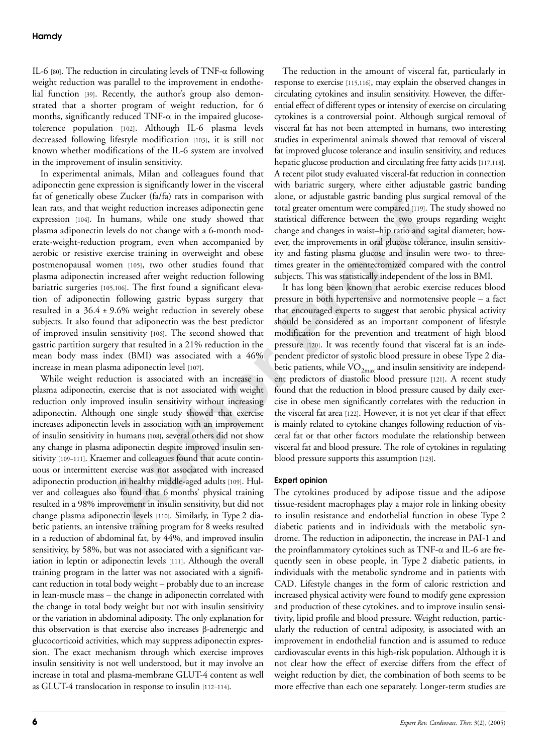#### **Hamdy**

IL-6 [80]. The reduction in circulating levels of TNF- $\alpha$  following weight reduction was parallel to the improvement in endothelial function [39]. Recently, the author's group also demonstrated that a shorter program of weight reduction, for 6 months, significantly reduced TNF- $\alpha$  in the impaired glucosetolerence population [102]. Although IL-6 plasma levels decreased following lifestyle modification [103], it is still not known whether modifications of the IL-6 system are involved in the improvement of insulin sensitivity.

In experimental animals, Milan and colleagues found that adiponectin gene expression is significantly lower in the visceral fat of genetically obese Zucker (fa/fa) rats in comparison with lean rats, and that weight reduction increases adiponectin gene expression [104]. In humans, while one study showed that plasma adiponectin levels do not change with a 6-month moderate-weight-reduction program, even when accompanied by aerobic or resistive exercise training in overweight and obese postmenopausal women [105], two other studies found that plasma adiponectin increased after weight reduction following bariatric surgeries [105,106]. The first found a significant elevation of adiponectin following gastric bypass surgery that resulted in a 36.4 ± 9.6% weight reduction in severely obese subjects. It also found that adiponectin was the best predictor of improved insulin sensitivity [106]. The second showed that gastric partition surgery that resulted in a 21% reduction in the mean body mass index (BMI) was associated with a 46% increase in mean plasma adiponectin level [107].

While weight reduction is associated with an increase in plasma adiponectin, exercise that is not associated with weight reduction only improved insulin sensitivity without increasing adiponectin. Although one single study showed that exercise increases adiponectin levels in association with an improvement of insulin sensitivity in humans [108], several others did not show any change in plasma adiponectin despite improved insulin sensitivity [109–111]. Kraemer and colleagues found that acute continuous or intermittent exercise was not associated with increased adiponectin production in healthy middle-aged adults [109]. Hulver and colleagues also found that 6 months' physical training resulted in a 98% improvement in insulin sensitivity, but did not change plasma adiponectin levels [110]. Similarly, in Type 2 diabetic patients, an intensive training program for 8 weeks resulted in a reduction of abdominal fat, by 44%, and improved insulin sensitivity, by 58%, but was not associated with a significant variation in leptin or adiponectin levels [111]. Although the overall training program in the latter was not associated with a significant reduction in total body weight – probably due to an increase in lean-muscle mass – the change in adiponectin correlated with the change in total body weight but not with insulin sensitivity or the variation in abdominal adiposity. The only explanation for this observation is that exercise also increases β-adrenergic and glucocorticoid activities, which may suppress adiponectin expression. The exact mechanism through which exercise improves insulin sensitivity is not well understood, but it may involve an increase in total and plasma-membrane GLUT-4 content as well as GLUT-4 translocation in response to insulin [112–114].

The reduction in the amount of visceral fat, particularly in response to exercise [115,116], may explain the observed changes in circulating cytokines and insulin sensitivity. However, the differential effect of different types or intensity of exercise on circulating cytokines is a controversial point. Although surgical removal of visceral fat has not been attempted in humans, two interesting studies in experimental animals showed that removal of visceral fat improved glucose tolerance and insulin sensitivity, and reduces hepatic glucose production and circulating free fatty acids [117,118]. A recent pilot study evaluated visceral-fat reduction in connection with bariatric surgery, where either adjustable gastric banding alone, or adjustable gastric banding plus surgical removal of the total greater omentum were compared [119]. The study showed no statistical difference between the two groups regarding weight change and changes in waist–hip ratio and sagital diameter; however, the improvements in oral glucose tolerance, insulin sensitivity and fasting plasma glucose and insulin were two- to threetimes greater in the omentectomized compared with the control subjects. This was statistically independent of the loss in BMI.

weight reduction increases adjonnecting encoulagement mum were compared [119]. The humans, while on study showed that statistical difference between the two groups levels do not change with a 6-month mod-change and changes It has long been known that aerobic exercise reduces blood pressure in both hypertensive and normotensive people – a fact that encouraged experts to suggest that aerobic physical activity should be considered as an important component of lifestyle modification for the prevention and treatment of high blood pressure [120]. It was recently found that visceral fat is an independent predictor of systolic blood pressure in obese Type 2 diabetic patients, while  $\rm VO_{2max}$  and insulin sensitivity are independent predictors of diastolic blood pressure [121]. A recent study found that the reduction in blood pressure caused by daily exercise in obese men significantly correlates with the reduction in the visceral fat area [122]. However, it is not yet clear if that effect is mainly related to cytokine changes following reduction of visceral fat or that other factors modulate the relationship between visceral fat and blood pressure. The role of cytokines in regulating blood pressure supports this assumption [123].

#### **Expert opinion**

The cytokines produced by adipose tissue and the adipose tissue-resident macrophages play a major role in linking obesity to insulin resistance and endothelial function in obese Type 2 diabetic patients and in individuals with the metabolic syndrome. The reduction in adiponectin, the increase in PAI-1 and the proinflammatory cytokines such as TNF- $\alpha$  and IL-6 are frequently seen in obese people, in Type 2 diabetic patients, in individuals with the metabolic syndrome and in patients with CAD. Lifestyle changes in the form of caloric restriction and increased physical activity were found to modify gene expression and production of these cytokines, and to improve insulin sensitivity, lipid profile and blood pressure. Weight reduction, particularly the reduction of central adiposity, is associated with an improvement in endothelial function and is assumed to reduce cardiovascular events in this high-risk population. Although it is not clear how the effect of exercise differs from the effect of weight reduction by diet, the combination of both seems to be more effective than each one separately. Longer-term studies are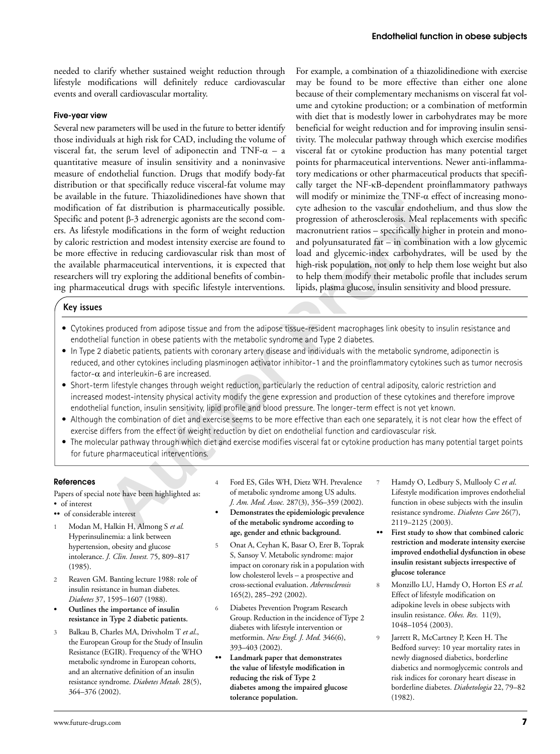needed to clarify whether sustained weight reduction through lifestyle modifications will definitely reduce cardiovascular events and overall cardiovascular mortality.

#### **Five-year view**

of far distribution is pharmaceutically possible. cyte adhesion to the vascular endotheliule modifications in the form of weight reduction macronutrient ratios - specifically higher be electromate points are the second co Several new parameters will be used in the future to better identify those individuals at high risk for CAD, including the volume of visceral fat, the serum level of adiponectin and TNF- $\alpha$  – a quantitative measure of insulin sensitivity and a noninvasive measure of endothelial function. Drugs that modify body-fat distribution or that specifically reduce visceral-fat volume may be available in the future. Thiazolidinediones have shown that modification of fat distribution is pharmaceutically possible. Specific and potent β-3 adrenergic agonists are the second comers. As lifestyle modifications in the form of weight reduction by caloric restriction and modest intensity exercise are found to be more effective in reducing cardiovascular risk than most of the available pharmaceutical interventions, it is expected that researchers will try exploring the additional benefits of combining pharmaceutical drugs with specific lifestyle interventions.

For example, a combination of a thiazolidinedione with exercise may be found to be more effective than either one alone because of their complementary mechanisms on visceral fat volume and cytokine production; or a combination of metformin with diet that is modestly lower in carbohydrates may be more beneficial for weight reduction and for improving insulin sensitivity. The molecular pathway through which exercise modifies visceral fat or cytokine production has many potential target points for pharmaceutical interventions. Newer anti-inflammatory medications or other pharmaceutical products that specifically target the NF-κB-dependent proinflammatory pathways will modify or minimize the TNF- $\alpha$  effect of increasing monocyte adhesion to the vascular endothelium, and thus slow the progression of atherosclerosis. Meal replacements with specific macronutrient ratios – specifically higher in protein and monoand polyunsaturated fat – in combination with a low glycemic load and glycemic-index carbohydrates, will be used by the high-risk population, not only to help them lose weight but also to help them modify their metabolic profile that includes serum lipids, plasma glucose, insulin sensitivity and blood pressure.

#### **Key issues**

- Cytokines produced from adipose tissue and from the adipose tissue-resident macrophages link obesity to insulin resistance and endothelial function in obese patients with the metabolic syndrome and Type 2 diabetes.
- In Type 2 diabetic patients, patients with coronary artery disease and individuals with the metabolic syndrome, adiponectin is reduced, and other cytokines including plasminogen activator inhibitor-1 and the proinflammatory cytokines such as tumor necrosis factor- $\alpha$  and interleukin-6 are increased.
- Short-term lifestyle changes through weight reduction, particularly the reduction of central adiposity, caloric restriction and increased modest-intensity physical activity modify the gene expression and production of these cytokines and therefore improve endothelial function, insulin sensitivity, lipid profile and blood pressure. The longer-term effect is not yet known.
- Although the combination of diet and exercise seems to be more effective than each one separately, it is not clear how the effect of exercise differs from the effect of weight reduction by diet on endothelial function and cardiovascular risk.
- The molecular pathway through which diet and exercise modifies visceral fat or cytokine production has many potential target points for future pharmaceutical interventions.

#### **References**

Papers of special note have been highlighted as: • of interest

- •• of considerable interest
- 1 Modan M, Halkin H, Almong S *et al.* Hyperinsulinemia: a link between hypertension, obesity and glucose intolerance. *J. Clin. Invest.* 75, 809–817 (1985).
- 2 Reaven GM. Banting lecture 1988: role of insulin resistance in human diabetes. *Diabetes* 37, 1595–1607 (1988).
- **Outlines the importance of insulin resistance in Type 2 diabetic patients.**
- 3 Balkau B, Charles MA, Drivsholm T *et al*., the European Group for the Study of Insulin Resistance (EGIR). Frequency of the WHO metabolic syndrome in European cohorts, and an alternative definition of an insulin resistance syndrome. *Diabetes Metab.* 28(5), 364–376 (2002).
- 4 Ford ES, Giles WH, Dietz WH. Prevalence of metabolic syndrome among US adults. *J. Am. Med. Assoc.* 287(3), 356–359 (2002).
- **Demonstrates the epidemiologic prevalence of the metabolic syndrome according to age, gender and ethnic background.**
- 5 Onat A, Ceyhan K, Basar O, Erer B, Toprak S, Sansoy V. Metabolic syndrome: major impact on coronary risk in a population with low cholesterol levels – a prospective and cross-sectional evaluation. *Atherosclerosis* 165(2), 285–292 (2002).
- 6 Diabetes Prevention Program Research Group. Reduction in the incidence of Type 2 diabetes with lifestyle intervention or metformin. *New Engl. J. Med.* 346(6), 393–403 (2002).
- **•• Landmark paper that demonstrates the value of lifestyle modification in reducing the risk of Type 2 diabetes among the impaired glucose tolerance population.**
- 7 Hamdy O, Ledbury S, Mullooly C *et al*. Lifestyle modification improves endothelial function in obese subjects with the insulin resistance syndrome. *Diabetes Care* 26(7), 2119–2125 (2003).
- First study to show that combined caloric **restriction and moderate intensity exercise improved endothelial dysfunction in obese insulin resistant subjects irrespective of glucose tolerance**
- 8 Monzillo LU, Hamdy O, Horton ES *et al*. Effect of lifestyle modification on adipokine levels in obese subjects with insulin resistance. *Obes. Res.* 11(9), 1048–1054 (2003).
- 9 Jarrett R, McCartney P, Keen H. The Bedford survey: 10 year mortality rates in newly diagnosed diabetics, borderline diabetics and normoglycemic controls and risk indices for coronary heart disease in borderline diabetes. *Diabetologia* 22, 79–82 (1982).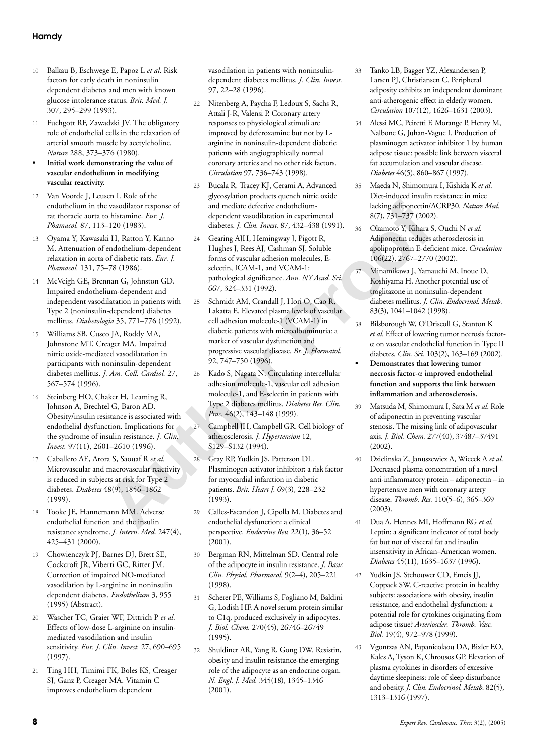### **Hamdy**

- 10 Balkau B, Eschwege E, Papoz L *et al*. Risk factors for early death in noninsulin dependent diabetes and men with known glucose intolerance status. *Brit. Med. J.* 307, 295–299 (1993).
- 11 Fuchgott RF, Zawadzki JV. The obligatory role of endothelial cells in the relaxation of arterial smooth muscle by acetylcholine. *Nature* 288, 373–376 (1980).
- **Initial work demonstrating the value of vascular endothelium in modifying vascular reactivity.**
- 12 Van Voorde J, Leusen I. Role of the endothelium in the vasodilator response of rat thoracic aorta to histamine. *Eur. J. Phamacol.* 87, 113–120 (1983).
- 13 Oyama Y, Kawasaki H, Ratton Y, Kanno M. Attenuation of endothelium-dependent relaxation in aorta of diabetic rats. *Eur. J. Phamacol.* 131, 75–78 (1986).
- 14 McVeigh GE, Brennan G, Johnston GD. Impaired endothelium-dependent and independent vasodilatation in patients with Type 2 (noninsulin-dependent) diabetes mellitus. *Diabetologia* 35, 771–776 (1992).
- 15 Williams SB, Cusco JA, Roddy MA, Johnstone MT, Creager MA. Impaired nitric oxide-mediated vasodilatation in participants with noninsulin-dependent diabetes mellitus. *J. Am. Coll. Cardiol.* 27, 567–574 (1996).
- 16 Steinberg HO, Chaker H, Leaming R, Johnson A, Brechtel G, Baron AD. Obesity/insulin resistance is associated with endothelial dysfunction. Implications for the syndrome of insulin resistance. *J. Clin. Invest.* 97(11), 2601–2610 (1996).
- 17 Caballero AE, Arora S, Saouaf R *et al.* Microvascular and macrovascular reactivity is reduced in subjects at risk for Type 2 diabetes. *Diabetes* 48(9), 1856–1862 (1999).
- 18 Tooke JE, Hannemann MM. Adverse endothelial function and the insulin resistance syndrome. *J. Intern. Med.* 247(4), 425–431 (2000).
- 19 Chowienczyk PJ, Barnes DJ, Brett SE, Cockcroft JR, Viberti GC, Ritter JM. Correction of impaired NO-mediated vasodilation by L-arginine in noninsulin dependent diabetes. *Endothelium* 3, 955 (1995) (Abstract).
- 20 Wascher TC, Graier WF, Dittrich P *et al*. Effects of low-dose L-arginine on insulinmediated vasodilation and insulin sensitivity. *Eur. J. Clin. Invest.* 27, 690–695 (1997).
- 21 Ting HH, Timimi FK, Boles KS, Creager SJ, Ganz P, Creager MA. Vitamin C improves endothelium dependent

vasodilation in patients with noninsulindependent diabetes mellitus. *J. Clin. Invest.* 97, 22–28 (1996).

- 22 Nitenberg A, Paycha F, Ledoux S, Sachs R, Attali J-R, Valensi P. Coronary artery responses to physiological stimuli are improved by deferoxamine but not by Larginine in noninsulin-dependent diabetic patients with angiographically normal coronary arteries and no other risk factors. *Circulation* 97, 736–743 (1998).
- 23 Bucala R, Tracey KJ, Cerami A. Advanced glycosylation products quench nitric oxide and mediate defective endotheliumdependent vasodilatation in experimental diabetes. *J. Clin. Invest.* 87, 432–438 (1991).
- 24 Gearing AJH, Hemingway J, Pigott R, Hughes J, Rees AJ, Cashman SJ. Soluble forms of vascular adhesion molecules, Eselectin, ICAM-1, and VCAM-1: pathological significance. *Ann. NY Acad. Sci.* 667, 324–331 (1992).
- e vasodilator response of and modiar educative endothelium-<br>
Lacking adiponectin/ACR (and the modial of histomics Eins J. Gar, Howen St, Automy J. Figger 1, Reach and Lacking AU, Figger 1, Reach and distortionary J. Figge 25 Schmidt AM, Crandall J, Hori O, Cao R, Lakatta E. Elevated plasma levels of vascular cell adhesion molecule-1 (VCAM-1) in diabetic patients with microalbuminuria: a marker of vascular dysfunction and progressive vascular disease. *Br. J. Haematol.* 92, 747–750 (1996).
	- 26 Kado S, Nagata N. Circulating intercellular adhesion molecule-1, vascular cell adhesion molecule-1, and E-selectin in patients with Type 2 diabetes mellitus. *Diabetes Res. Clin. Prac.* 46(2), 143–148 (1999).
	- 27 Campbell JH, Campbell GR. Cell biology of atherosclerosis. *J. Hypertension* 12, S129–S132 (1994).
	- 28 Gray RP, Yudkin JS, Patterson DL. Plasminogen activator inhibitor: a risk factor for myocardial infarction in diabetic patients. *Brit. Heart J.* 69(3), 228–232 (1993).
	- 29 Calles-Escandon J, Cipolla M. Diabetes and endothelial dysfunction: a clinical perspective. *Endocrine Rev.* 22(1), 36–52 (2001).
	- 30 Bergman RN, Mittelman SD. Central role of the adipocyte in insulin resistance. *J. Basic Clin. Physiol. Pharmacol.* 9(2–4), 205–221 (1998).
	- 31 Scherer PE, Williams S, Fogliano M, Baldini G, Lodish HF. A novel serum protein similar to C1q, produced exclusively in adipocytes. *J. Biol. Chem.* 270(45), 26746–26749 (1995).
	- 32 Shuldiner AR, Yang R, Gong DW. Resistin, obesity and insulin resistance-the emerging role of the adipocyte as an endocrine organ. *N. Engl. J. Med.* 345(18), 1345–1346 (2001).
- 33 Tanko LB, Bagger YZ, Alexandersen P, Larsen PJ, Christiansen C. Peripheral adiposity exhibits an independent dominant anti-atherogenic effect in elderly women. *Circulation* 107(12), 1626–1631 (2003).
- 34 Alessi MC, Peiretti F, Morange P, Henry M, Nalbone G, Juhan-Vague I. Production of plasminogen activator inhibitor 1 by human adipose tissue: possible link between visceral fat accumulation and vascular disease. *Diabetes* 46(5), 860–867 (1997).
- 35 Maeda N, Shimomura I, Kishida K *et al*. Diet-induced insulin resistance in mice lacking adiponectin/ACRP30. *Nature Med.* 8(7), 731–737 (2002).
- 36 Okamoto Y, Kihara S, Ouchi N *et al*. Adiponectin reduces atherosclerosis in apolipoprotein E-deficient mice. *Circulation* 106(22), 2767–2770 (2002).
- Minamikawa J, Yamauchi M, Inoue D, Koshiyama H. Another potential use of troglitazone in noninsulin-dependent diabetes mellitus. *J. Clin. Endocrinol. Metab.* 83(3), 1041–1042 (1998).
- 38 Bilsborough W, O'Driscoll G, Stanton K *et al.* Effect of lowering tumor necrosis factorα on vascular endothelial function in Type II diabetes. *Clin. Sci.* 103(2), 163–169 (2002).
- **Demonstrates that lowering tumor necrosis factor-**α **improved endothelial function and supports the link between inflammation and atherosclerosis.**
- 39 Matsuda M, Shimomura I, Sata M *et al*. Role of adiponectin in preventing vascular stenosis. The missing link of adipovascular axis. *J. Biol. Chem.* 277(40), 37487–37491 (2002).
- 40 Dzielinska Z, Januszewicz A, Wiecek A *et al*. Decreased plasma concentration of a novel anti-inflammatory protein – adiponectin – in hypertensive men with coronary artery disease. *Thromb. Res.* 110(5–6), 365–369 (2003).
- 41 Dua A, Hennes MI, Hoffmann RG *et al.* Leptin: a significant indicator of total body fat but not of visceral fat and insulin insensitivity in African–American women. *Diabetes* 45(11), 1635–1637 (1996).
- 42 Yudkin JS, Stehouwer CD, Emeis JJ, Coppack SW. C-reactive protein in healthy subjects: associations with obesity, insulin resistance, and endothelial dysfunction: a potential role for cytokines originating from adipose tissue? *Arterioscler. Thromb. Vasc. Biol.* 19(4), 972–978 (1999).
- 43 Vgontzas AN, Papanicolaou DA, Bixler EO, Kales A, Tyson K, Chrousos GP. Elevation of plasma cytokines in disorders of excessive daytime sleepiness: role of sleep disturbance and obesity. *J. Clin. Endocrinol. Metab.* 82(5), 1313–1316 (1997).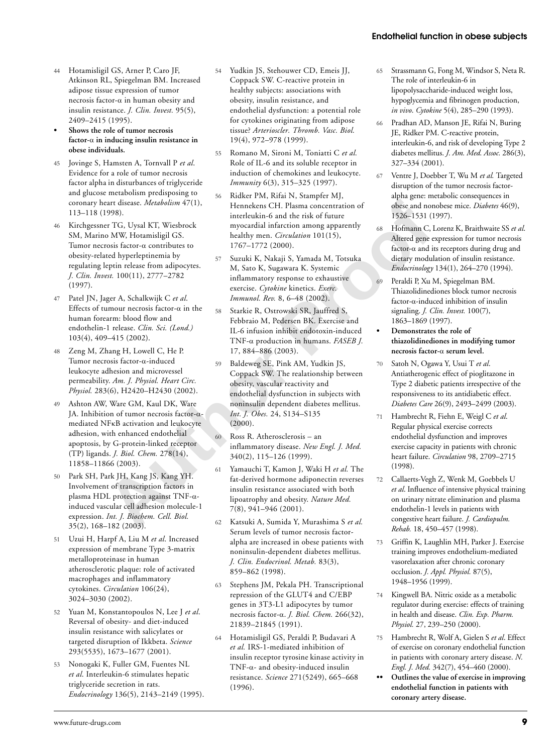- 44 Hotamisligil GS, Arner P, Caro JF, Atkinson RL, Spiegelman BM. Increased adipose tissue expression of tumor necrosis factor-α in human obesity and insulin resistance. *J. Clin. Invest.* 95(5), 2409–2415 (1995).
- **Shows the role of tumor necrosis factor-**α **in inducing insulin resistance in obese individuals.**
- 45 Jovinge S, Hamsten A, Tornvall P *et al*. Evidence for a role of tumor necrosis factor alpha in disturbances of triglyceride and glucose metabolism predisposing to coronary heart disease. *Metabolism* 47(1), 113–118 (1998).
- 46 Kirchgessner TG, Uysal KT, Wiesbrock SM, Marino MW, Hotamisligil GS. Tumor necrosis factor-α contributes to obesity-related hyperleptinemia by regulating leptin release from adipocytes. *J. Clin. Invest.* 100(11), 2777–2782 (1997).
- 47 Patel JN, Jager A, Schalkwijk C *et al*. Effects of tumour necrosis factor- $\alpha$  in the human forearm: blood flow and endothelin-1 release. *Clin. Sci. (Lond.)* 103(4), 409–415 (2002).
- 48 Zeng M, Zhang H, Lowell C, He P. Tumor necrosis factor-α-induced leukocyte adhesion and microvessel permeability. *Am. J. Physiol. Heart Circ. Physiol.* 283(6), H2420–H2430 (2002).
- 49 Ashton AW, Ware GM, Kaul DK, Ware JA. Inhibition of tumor necrosis factor-αmediated NFκB activation and leukocyte adhesion, with enhanced endothelial apoptosis, by G-protein-linked receptor (TP) ligands. *J. Biol. Chem.* 278(14), 11858–11866 (2003).
- 50 Park SH, Park JH, Kang JS, Kang YH. Involvement of transcription factors in plasma HDL protection against TNF-αinduced vascular cell adhesion molecule-1 expression. *Int. J. Biochem. Cell. Biol.* 35(2), 168–182 (2003).
- 51 Uzui H, Harpf A, Liu M *et al*. Increased expression of membrane Type 3-matrix metalloproteinase in human atherosclerotic plaque: role of activated macrophages and inflammatory cytokines. *Circulation* 106(24), 3024–3030 (2002).
- 52 Yuan M, Konstantopoulos N, Lee J *et al*. Reversal of obesity- and diet-induced insulin resistance with salicylates or targeted disruption of Ikkbeta. *Science* 293(5535), 1673–1677 (2001).
- 53 Nonogaki K, Fuller GM, Fuentes NL *et al*. Interleukin-6 stimulates hepatic triglyceride secretion in rats. *Endocrinology* 136(5), 2143–2149 (1995).
- Yudkin JS, Stehouwer CD, Emeis JJ, Coppack SW. C-reactive protein in healthy subjects: associations with obesity, insulin resistance, and endothelial dysfunction: a potential role for cytokines originating from adipose tissue? *Arterioscler. Thromb. Vasc. Biol.* 19(4), 972–978 (1999).
- 55 Romano M, Sironi M, Toniatti C *et al.* Role of IL-6 and its soluble receptor in induction of chemokines and leukocyte. *Immunity* 6(3), 315–325 (1997).
- 56 Ridker PM, Rifai N, Stampfer MJ, Hennekens CH. Plasma concentration of interleukin-6 and the risk of future myocardial infarction among apparently healthy men. *Circulation* 101(15), 1767–1772 (2000).
- 57 Suzuki K, Nakaji S, Yamada M, Totsuka M, Sato K, Sugawara K. Systemic inflammatory response to exhaustive exercise. *Cytokine* kinetics. *Exerc. Immunol. Rev.* 8, 6–48 (2002).
- 58 Starkie R, Ostrowski SR, Jauffred S, Febbraio M, Pedersen BK. Exercise and IL-6 infusion inhibit endotoxin-induced TNF-α production in humans. *FASEB J.* 17, 884–886 (2003).
- Eart disease. *Metabolism* 47(1),<br>
Hennekens CH. Plassna concentration of subseguant nonobel<br>
are CG. Uysal KT. Wiednrock intereluction and the risk of four the 1526-1531 (1997)<br>
1998). Hennetheila infactrion anong appare 59 Baldeweg SE, Pink AM, Yudkin JS, Coppack SW. The realationship between obesity, vascular reactivity and endothelial dysfunction in subjects with noninsulin dependent diabetes mellitus. *Int. J. Obes.* 24, S134–S135 (2000).
	- 60 Ross R. Atherosclerosis an inflammatory disease. *New Engl. J. Med.* 340(2), 115–126 (1999).
	- 61 Yamauchi T, Kamon J, Waki H *et al.* The fat-derived hormone adiponectin reverses insulin resistance associated with both lipoatrophy and obesity. *Nature Med.* 7(8), 941–946 (2001).
	- 62 Katsuki A, Sumida Y, Murashima S *et al.* Serum levels of tumor necrosis factoralpha are increased in obese patients with noninsulin-dependent diabetes mellitus. *J. Clin. Endocrinol. Metab.* 83(3), 859–862 (1998).
	- 63 Stephens JM, Pekala PH. Transcriptional repression of the GLUT4 and C/EBP genes in 3T3-L1 adipocytes by tumor necrosis factor-α. *J. Biol. Chem.* 266(32), 21839–21845 (1991).
	- 64 Hotamisligil GS, Peraldi P, Budavari A *et al.* IRS-1-mediated inhibition of insulin receptor tyrosine kinase activity in TNF-α- and obesity-induced insulin resistance. *Science* 271(5249), 665–668 (1996).
- 65 Strassmann G, Fong M, Windsor S, Neta R. The role of interleukin-6 in lipopolysaccharide-induced weight loss, hypoglycemia and fibrinogen production, *in vivo*. *Cytokine* 5(4), 285–290 (1993).
- 66 Pradhan AD, Manson JE, Rifai N, Buring JE, Ridker PM. C-reactive protein, interleukin-6, and risk of developing Type 2 diabetes mellitus. *J. Am. Med. Assoc.* 286(3), 327–334 (2001).
- 67 Ventre J, Doebber T, Wu M *et al.* Targeted disruption of the tumor necrosis factoralpha gene: metabolic consequences in obese and nonobese mice. *Diabetes* 46(9), 1526–1531 (1997).
- 68 Hofmann C, Lorenz K, Braithwaite SS *et al*. Altered gene expression for tumor necrosis factor- $\alpha$  and its receptors during drug and dietary modulation of insulin resistance. *Endocrinology* 134(1), 264–270 (1994).
- 69 Peraldi P, Xu M, Spiegelman BM. Thiazolidinediones block tumor necrosis factor-α-induced inhibition of insulin signaling. *J. Clin. Invest.* 100(7), 1863–1869 (1997).
- **Demonstrates the role of thiazolidinediones in modifying tumor necrosis factor-**α **serum level.**
- 70 Satoh N, Ogawa Y, Usui T *et al*. Antiatherogenic effect of pioglitazone in Type 2 diabetic patients irrespective of the responsiveness to its antidiabetic effect. *Diabetes Care* 26(9), 2493–2499 (2003).
- 71 Hambrecht R, Fiehn E, Weigl C *et al*. Regular physical exercise corrects endothelial dysfunction and improves exercise capacity in patients with chronic heart failure. *Circulation* 98, 2709–2715 (1998).
- 72 Callaerts-Vegh Z, Wenk M, Goebbels U *et al*. Influence of intensive physical training on urinary nitrate elimination and plasma endothelin-1 levels in patients with congestive heart failure. *J. Cardiopulm. Rehab.* 18, 450–457 (1998).
- 73 Griffin K, Laughlin MH, Parker J. Exercise training improves endothelium-mediated vasorelaxation after chronic coronary occlusion. *J. Appl. Physiol.* 87(5), 1948–1956 (1999).
- 74 Kingwell BA. Nitric oxide as a metabolic regulator during exercise: effects of training in health and disease. *Clin. Exp. Pharm. Physiol.* 27, 239–250 (2000).
- 75 Hambrecht R, Wolf A, Gielen S *et al*. Effect of exercise on coronary endothelial function in patients with coronary artery disease. *N. Engl. J. Med.* 342(7), 454–460 (2000).
- **•• Outlines the value of exercise in improving endothelial function in patients with coronary artery disease.**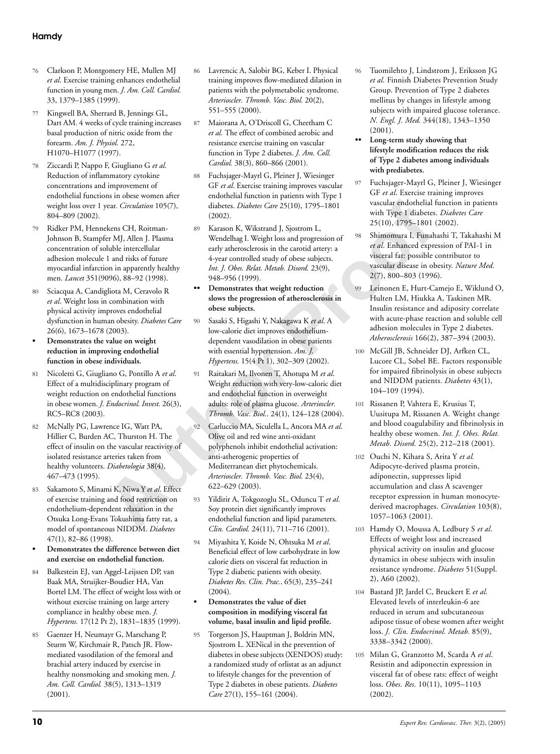- 76 Clarkson P, Montgomery HE, Mullen MJ *et al*. Exercise training enhances endothelial function in young men. *J. Am. Coll. Cardiol.* 33, 1379–1385 (1999).
- 77 Kingwell BA, Sherrard B, Jennings GL, Dart AM. 4 weeks of cycle training increases basal production of nitric oxide from the forearm. *Am. J. Physiol.* 272, H1070–H1077 (1997).
- 78 Ziccardi P, Nappo F, Giugliano G *et al.* Reduction of inflammatory cytokine concentrations and improvement of endothelial functions in obese women after weight loss over 1 year. *Circulation* 105(7), 804–809 (2002).
- 79 Ridker PM, Hennekens CH, Roitman-Johnson B, Stampfer MJ, Allen J. Plasma concentration of soluble intercellular adhesion molecule 1 and risks of future myocardial infarction in apparently healthy men. *Lancet* 351(9096), 88–92 (1998).
- 80 Sciacqua A, Candigliota M, Ceravolo R *et al*. Weight loss in combination with physical activity improves endothelial dysfunction in human obesity. *Diabetes Care* 26(6), 1673–1678 (2003).
- **Demonstrates the value on weight reduction in improving endothelial function in obese individuals.**
- 81 Nicoletti G, Giugliano G, Pontillo A *et al*. Effect of a multidisciplinary program of weight reduction on endothelial functions in obese women. *J. Endocrinol. Invest.* 26(3), RC5–RC8 (2003).
- 82 McNally PG, Lawrence IG, Watt PA, Hillier C, Burden AC, Thurston H. The effect of insulin on the vascular reactivity of isolated resistance arteries taken from healthy volunteers. *Diabetologia* 38(4), 467–473 (1995).
- 83 Sakamoto S, Minami K, Niwa Y *et al*. Effect of exercise training and food restriction on endothelium-dependent relaxation in the Otsuka Long-Evans Tokushima fatty rat, a model of spontaneous NIDDM. *Diabetes* 47(1), 82–86 (1998).
- **Demonstrates the difference between diet and exercise on endothelial function.**
- 84 Balkestein EJ, van Aggel-Leijssen DP, van Baak MA, Struijker-Boudier HA, Van Bortel LM. The effect of weight loss with or without exercise training on large artery compliance in healthy obese men. *J. Hypertens.* 17(12 Pt 2), 1831–1835 (1999).
- 85 Gaenzer H, Neumayr G, Marschang P, Sturm W, Kirchmair R, Patsch JR. Flowmediated vasodilation of the femoral and brachial artery induced by exercise in healthy nonsmoking and smoking men. *J. Am. Coll. Cardiol.* 38(5), 1313–1319 (2001).
- 86 Lavrencic A, Salobir BG, Keber I. Physical training improves flow-mediated dilation in patients with the polymetabolic syndrome. *Arterioscler. Thromb. Vasc. Biol.* 20(2), 551–555 (2000).
- 87 Maiorana A, O'Driscoll G, Cheetham C *et al.* The effect of combined aerobic and resistance exercise training on vascular function in Type 2 diabetes. *J. Am. Coll. Cardiol.* 38(3), 860–866 (2001).
- 88 Fuchsjager-Mayrl G, Pleiner J, Wiesinger GF *et al*. Exercise training improves vascular endothelial function in patients with Type 1 diabetes. *Diabetes Care* 25(10), 1795–1801 (2002).
- 89 Karason K, Wikstrand J, Sjostrom L, Wendelhag I. Weight loss and progression of early atherosclerosis in the carotid artery: a 4-year controlled study of obese subjects. *Int. J. Obes. Relat. Metab. Disord.* 23(9), 948–956 (1999).
- **•• Demonstrates that weight reduction slows the progression of atherosclerosis in obese subjects.**
- 90 Sasaki S, Higashi Y, Nakagawa K *et al*. A low-calorie diet improves endotheliumdependent vasodilation in obese patients with essential hypertension. *Am. J. Hypertens.* 15(4 Pt 1), 302–309 (2002).
- 91 Raitakari M, Ilvonen T, Ahotupa M *et al*. Weight reduction with very-low-caloric diet and endothelial function in overweight adults: role of plasma glucose. *Arterioscler. Thromb. Vasc. Biol.*. 24(1), 124–128 (2004).
- year. *Circulation* 105(7), diabetes. *Diabetes Care*  $25(10)$ , 1795–1801 vistical functions CH, Roitman-<br> **Access CH, Roitman-** 88 **Xarason K, Wilstrand** J, Sjostrom L, with Tippe 1 diabetes. *Diabetes* **Are M**, Allem 92 Carluccio MA, Siculella L, Ancora MA *et al*. Olive oil and red wine anti-oxidant polyphenols inhibit endothelial activation: anti-atherogenic properties of Mediterranean diet phytochemicals. *Arterioscler. Thromb. Vasc. Biol.* 23(4), 622–629 (2003).
	- 93 Yildirir A, Tokgozoglu SL, Oduncu T *et al*. Soy protein diet significantly improves endothelial function and lipid parameters. *Clin. Cardiol.* 24(11), 711–716 (2001).
	- 94 Miyashita Y, Koide N, Ohtsuka M *et al*. Beneficial effect of low carbohydrate in low calorie diets on visceral fat reduction in Type 2 diabetic patients with obesity. *Diabetes Res. Clin. Prac.*. 65(3), 235–241  $(2004)$ .
	- **Demonstrates the value of diet composition in modifying visceral fat volume, basal insulin and lipid profile.**
	- 95 Torgerson JS, Hauptman J, Boldrin MN, Sjostrom L. XENical in the prevention of diabetes in obese subjects (XENDOS) study: a randomized study of orlistat as an adjunct to lifestyle changes for the prevention of Type 2 diabetes in obese patients. *Diabetes Care* 27(1), 155–161 (2004).
- 96 Tuomilehto J, Lindstrom J, Eriksson JG *et al.* Finnish Diabetes Prevention Study Group. Prevention of Type 2 diabetes mellitus by changes in lifestyle among subjects with impaired glucose tolerance. *N. Engl. J. Med.* 344(18), 1343–1350  $(2001)$ .
- Long-term study showing that **lifestyle modification reduces the risk of Type 2 diabetes among individuals with prediabetes.**
- 97 Fuchsjager-Mayrl G, Pleiner J, Wiesinger GF *et al*. Exercise training improves vascular endothelial function in patients with Type 1 diabetes. *Diabetes Care* 25(10), 1795–1801 (2002).
- 98 Shimomura I, Funahashi T, Takahashi M *et al*. Enhanced expression of PAI-1 in visceral fat: possible contributor to vascular disease in obesity. *Nature Med.* 2(7), 800–803 (1996).
- Leinonen E, Hurt-Camejo E, Wiklund O, Hulten LM, Hiukka A, Taskinen MR. Insulin resistance and adiposity correlate with acute-phase reaction and soluble cell adhesion molecules in Type 2 diabetes. *Atherosclerosis* 166(2), 387–394 (2003).
- 100 McGill JB, Schneider DJ, Arfken CL, Lucore CL, Sobel BE. Factors responsible for impaired fibrinolysis in obese subjects and NIDDM patients. *Diabetes* 43(1), 104–109 (1994).
- 101 Rissanen P, Vahtera E, Krusius T, Uusitupa M, Rissanen A. Weight change and blood coagulability and fibrinolysis in healthy obese women. *Int. J. Obes. Relat. Metab. Disord.* 25(2), 212–218 (2001).
- 102 Ouchi N, Kihara S, Arita Y *et al.* Adipocyte-derived plasma protein, adiponectin, suppresses lipid accumulation and class A scavenger receptor expression in human monocytederived macrophages. *Circulation* 103(8), 1057–1063 (2001).
- 103 Hamdy O, Moussa A, Ledbury S *et al*. Effects of weight loss and increased physical activity on insulin and glucose dynamics in obese subjects with insulin resistance syndrome. *Diabetes* 51(Suppl. 2), A60 (2002).
- 104 Bastard JP, Jardel C, Bruckert E *et al.* Elevated levels of interleukin-6 are reduced in serum and subcutaneous adipose tissue of obese women after weight loss. *J. Clin. Endocrinol. Metab.* 85(9), 3338–3342 (2000).
- 105 Milan G, Granzotto M, Scarda A *et al*. Resistin and adiponectin expression in visceral fat of obese rats: effect of weight loss. *Obes. Res.* 10(11), 1095–1103 (2002).